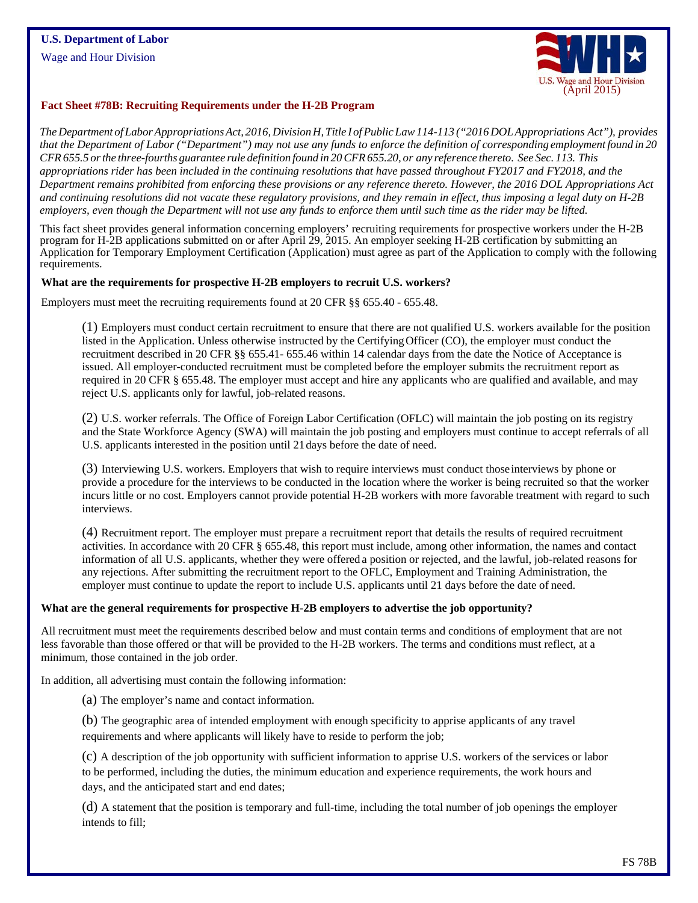# **U.S. Department of Labor**

Wage and Hour Division



# **Fact Sheet #78B: Recruiting Requirements under the H-2B Program**

*TheDepartment ofLaborAppropriationsAct, 2016,DivisionH, Title I ofPublic Law114-113 ("2016DOLAppropriations Act"), provides that the Department of Labor ("Department") may not use any funds to enforce the definition of corresponding employment found in 20* CFR 655.5 or the three-fourths guarantee rule definition found in 20 CFR 655.20, or any reference thereto. See Sec. 113. This *appropriations rider has been included in the continuing resolutions that have passed throughout FY2017 and FY2018, and the Department remains prohibited from enforcing these provisions or any reference thereto. However, the 2016 DOL Appropriations Act and continuing resolutions did not vacate these regulatory provisions, and they remain in effect, thus imposing a legal duty on H-2B employers, even though the Department will not use any funds to enforce them until such time as the rider may be lifted.*

This fact sheet provides general information concerning employers' recruiting requirements for prospective workers under the H-2B program for H-2B applications submitted on or after April 29, 2015. An employer seeking H-2B certification by submitting an Application for Temporary Employment Certification (Application) must agree as part of the Application to comply with the following requirements.

## **What are the requirements for prospective H-2B employers to recruit U.S. workers?**

Employers must meet the recruiting requirements found at 20 CFR §§ 655.40 - 655.48.

(1) Employers must conduct certain recruitment to ensure that there are not qualified U.S. workers available for the position listed in the Application. Unless otherwise instructed by the CertifyingOfficer (CO), the employer must conduct the recruitment described in 20 CFR §§ 655.41- 655.46 within 14 calendar days from the date the Notice of Acceptance is issued. All employer-conducted recruitment must be completed before the employer submits the recruitment report as required in 20 CFR § 655.48. The employer must accept and hire any applicants who are qualified and available, and may reject U.S. applicants only for lawful, job-related reasons.

(2) U.S. worker referrals. The Office of Foreign Labor Certification (OFLC) will maintain the job posting on its registry and the State Workforce Agency (SWA) will maintain the job posting and employers must continue to accept referrals of all U.S. applicants interested in the position until 21 days before the date of need.

(3) Interviewing U.S. workers. Employers that wish to require interviews must conduct those interviews by phone or provide a procedure for the interviews to be conducted in the location where the worker is being recruited so that the worker incurs little or no cost. Employers cannot provide potential H-2B workers with more favorable treatment with regard to such interviews.

(4) Recruitment report. The employer must prepare a recruitment report that details the results of required recruitment activities. In accordance with 20 CFR § 655.48, this report must include, among other information, the names and contact information of all U.S. applicants, whether they were offered a position or rejected, and the lawful, job-related reasons for any rejections. After submitting the recruitment report to the OFLC, Employment and Training Administration, the employer must continue to update the report to include U.S. applicants until 21 days before the date of need.

# **What are the general requirements for prospective H-2B employers to advertise the job opportunity?**

All recruitment must meet the requirements described below and must contain terms and conditions of employment that are not less favorable than those offered or that will be provided to the H-2B workers. The terms and conditions must reflect, at a minimum, those contained in the job order.

In addition, all advertising must contain the following information:

(a) The employer's name and contact information.

(b) The geographic area of intended employment with enough specificity to apprise applicants of any travel requirements and where applicants will likely have to reside to perform the job;

(c) A description of the job opportunity with sufficient information to apprise U.S. workers of the services or labor to be performed, including the duties, the minimum education and experience requirements, the work hours and days, and the anticipated start and end dates;

(d) A statement that the position is temporary and full-time, including the total number of job openings the employer intends to fill;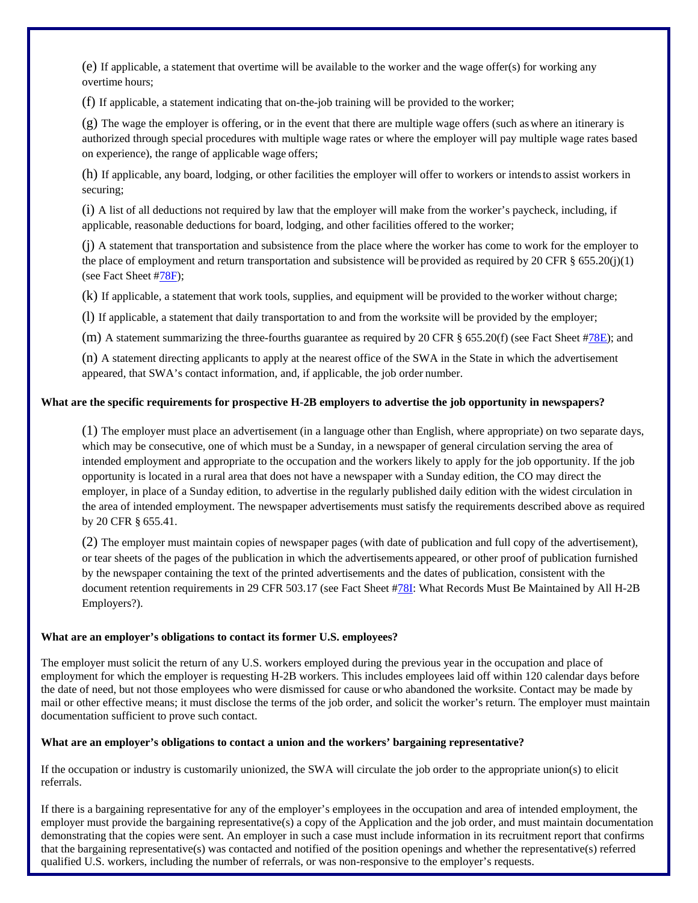(e) If applicable, a statement that overtime will be available to the worker and the wage offer(s) for working any overtime hours;

(f) If applicable, a statement indicating that on-the-job training will be provided to the worker;

(g) The wage the employer is offering, or in the event that there are multiple wage offers (such aswhere an itinerary is authorized through special procedures with multiple wage rates or where the employer will pay multiple wage rates based on experience), the range of applicable wage offers;

(h) If applicable, any board, lodging, or other facilities the employer will offer to workers or intendsto assist workers in securing;

(i) A list of all deductions not required by law that the employer will make from the worker's paycheck, including, if applicable, reasonable deductions for board, lodging, and other facilities offered to the worker;

(j) A statement that transportation and subsistence from the place where the worker has come to work for the employer to the place of employment and return transportation and subsistence will be provided as required by 20 CFR  $\S$  655.20(j)(1) (see Fact Sheet [#78F\)](http://www.dol.gov/WHD/regs/compliance/whdfs78f.htm);

(k) If applicable, a statement that work tools, supplies, and equipment will be provided to theworker without charge;

(l) If applicable, a statement that daily transportation to and from the worksite will be provided by the employer;

(m) A statement summarizing the three-fourths guarantee as required by 20 CFR  $\S$  655.20(f) (see Fact Sheet [#78E\)](http://www.dol.gov/WHD/regs/compliance/whdfs78e.htm); and

(n) A statement directing applicants to apply at the nearest office of the SWA in the State in which the advertisement appeared, that SWA's contact information, and, if applicable, the job order number.

## **What are the specific requirements for prospective H-2B employers to advertise the job opportunity in newspapers?**

(1) The employer must place an advertisement (in a language other than English, where appropriate) on two separate days, which may be consecutive, one of which must be a Sunday, in a newspaper of general circulation serving the area of intended employment and appropriate to the occupation and the workers likely to apply for the job opportunity. If the job opportunity is located in a rural area that does not have a newspaper with a Sunday edition, the CO may direct the employer, in place of a Sunday edition, to advertise in the regularly published daily edition with the widest circulation in the area of intended employment. The newspaper advertisements must satisfy the requirements described above as required by 20 CFR § 655.41.

(2) The employer must maintain copies of newspaper pages (with date of publication and full copy of the advertisement), or tear sheets of the pages of the publication in which the advertisements appeared, or other proof of publication furnished by the newspaper containing the text of the printed advertisements and the dates of publication, consistent with the document retention requirements in 29 CFR 503.17 (see Fact Sheet [#78I:](http://www.dol.gov/WHD/regs/compliance/whdfs78i.htm) What Records Must Be Maintained by All H-2B Employers?).

### **What are an employer's obligations to contact its former U.S. employees?**

The employer must solicit the return of any U.S. workers employed during the previous year in the occupation and place of employment for which the employer is requesting H-2B workers. This includes employees laid off within 120 calendar days before the date of need, but not those employees who were dismissed for cause orwho abandoned the worksite. Contact may be made by mail or other effective means; it must disclose the terms of the job order, and solicit the worker's return. The employer must maintain documentation sufficient to prove such contact.

### **What are an employer's obligations to contact a union and the workers' bargaining representative?**

If the occupation or industry is customarily unionized, the SWA will circulate the job order to the appropriate union(s) to elicit referrals.

If there is a bargaining representative for any of the employer's employees in the occupation and area of intended employment, the employer must provide the bargaining representative(s) a copy of the Application and the job order, and must maintain documentation demonstrating that the copies were sent. An employer in such a case must include information in its recruitment report that confirms that the bargaining representative(s) was contacted and notified of the position openings and whether the representative(s) referred qualified U.S. workers, including the number of referrals, or was non-responsive to the employer's requests.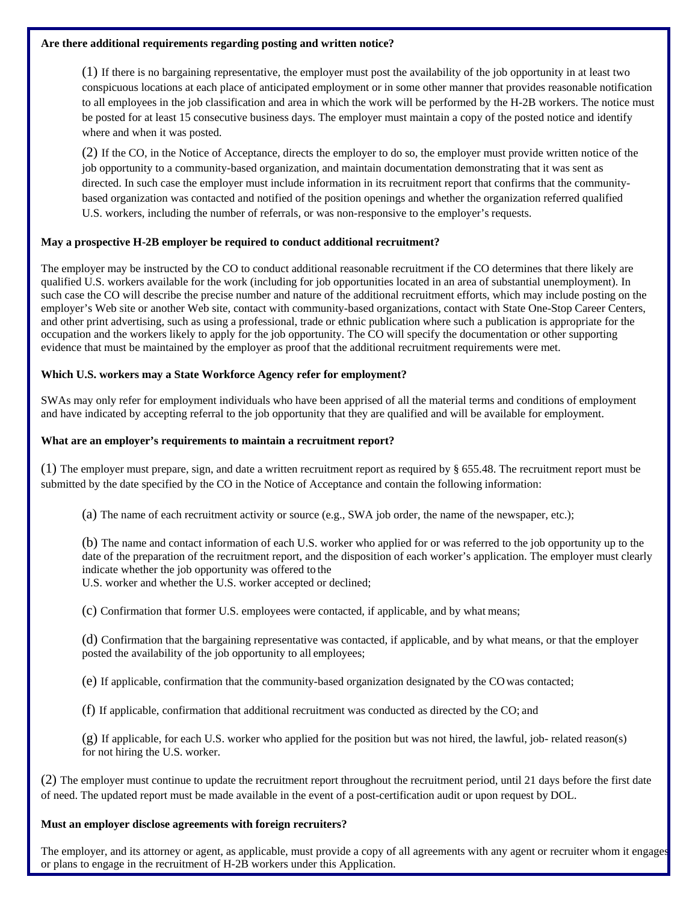## **Are there additional requirements regarding posting and written notice?**

(1) If there is no bargaining representative, the employer must post the availability of the job opportunity in at least two conspicuous locations at each place of anticipated employment or in some other manner that provides reasonable notification to all employees in the job classification and area in which the work will be performed by the H-2B workers. The notice must be posted for at least 15 consecutive business days. The employer must maintain a copy of the posted notice and identify where and when it was posted.

(2) If the CO, in the Notice of Acceptance, directs the employer to do so, the employer must provide written notice of the job opportunity to a community-based organization, and maintain documentation demonstrating that it was sent as directed. In such case the employer must include information in its recruitment report that confirms that the communitybased organization was contacted and notified of the position openings and whether the organization referred qualified U.S. workers, including the number of referrals, or was non-responsive to the employer's requests.

# **May a prospective H-2B employer be required to conduct additional recruitment?**

The employer may be instructed by the CO to conduct additional reasonable recruitment if the CO determines that there likely are qualified U.S. workers available for the work (including for job opportunities located in an area of substantial unemployment). In such case the CO will describe the precise number and nature of the additional recruitment efforts, which may include posting on the employer's Web site or another Web site, contact with community-based organizations, contact with State One-Stop Career Centers, and other print advertising, such as using a professional, trade or ethnic publication where such a publication is appropriate for the occupation and the workers likely to apply for the job opportunity. The CO will specify the documentation or other supporting evidence that must be maintained by the employer as proof that the additional recruitment requirements were met.

## **Which U.S. workers may a State Workforce Agency refer for employment?**

SWAs may only refer for employment individuals who have been apprised of all the material terms and conditions of employment and have indicated by accepting referral to the job opportunity that they are qualified and will be available for employment.

## **What are an employer's requirements to maintain a recruitment report?**

(1) The employer must prepare, sign, and date a written recruitment report as required by § 655.48. The recruitment report must be submitted by the date specified by the CO in the Notice of Acceptance and contain the following information:

(a) The name of each recruitment activity or source (e.g., SWA job order, the name of the newspaper, etc.);

(b) The name and contact information of each U.S. worker who applied for or was referred to the job opportunity up to the date of the preparation of the recruitment report, and the disposition of each worker's application. The employer must clearly indicate whether the job opportunity was offered to the

U.S. worker and whether the U.S. worker accepted or declined;

(c) Confirmation that former U.S. employees were contacted, if applicable, and by what means;

(d) Confirmation that the bargaining representative was contacted, if applicable, and by what means, or that the employer posted the availability of the job opportunity to all employees;

(e) If applicable, confirmation that the community-based organization designated by the COwas contacted;

(f) If applicable, confirmation that additional recruitment was conducted as directed by the CO; and

(g) If applicable, for each U.S. worker who applied for the position but was not hired, the lawful, job- related reason(s) for not hiring the U.S. worker.

(2) The employer must continue to update the recruitment report throughout the recruitment period, until 21 days before the first date of need. The updated report must be made available in the event of a post-certification audit or upon request by DOL.

# **Must an employer disclose agreements with foreign recruiters?**

The employer, and its attorney or agent, as applicable, must provide a copy of all agreements with any agent or recruiter whom it engages or plans to engage in the recruitment of H-2B workers under this Application.